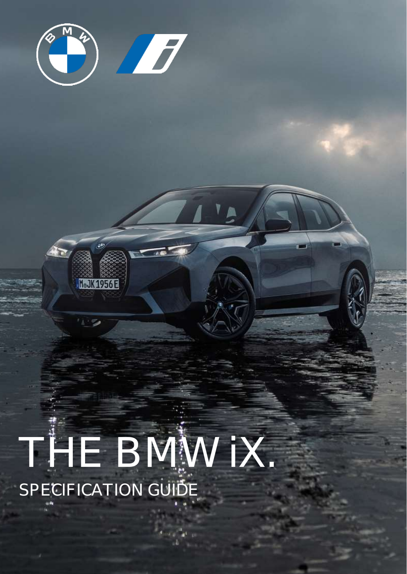

**M. JK1956E** 

 $\mathbb{Z}^n$ 

# THE BMW IX. SPECIFICATION GUIDE

the control of the control of the control of the control of the control of the control of the control of the control of the control of the control of the control of the control of the control of the control of the control the company of the company of the company of the company of the company of the company of the company of the company of the company of the company of the company of the company of the company of the company of the company the committee of the committee of the committee of the committee of the committee of the committee of the committee of the committee of the committee of the committee of the committee of the committee of the committee of t the company of the company of the company of the company of the company of the company of the company of the company of the company of the company of the company of the company of the company of the company of the company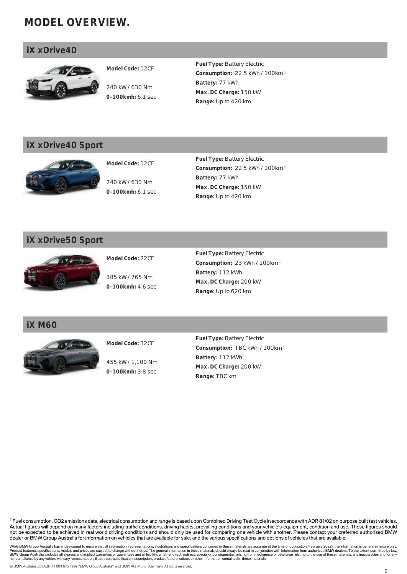## **MODEL OVERVIEW.**

## **iX xDrive40**



**Model Code:** 12CF

240 kW / 630 Nm **0-100kmh:** 6.1 sec **Fuel Type:** Battery Electric **Consumption:** 22.5 kWh / 100km <sup>1</sup> **Battery:** 77 kWh **Max. DC Charge:** 150 kW **Range:** Up to 420 km

## **iX xDrive40 Sport**



**Model Code:** 12CF

240 kW / 630 Nm **0-100kmh:** 6.1 sec **Fuel Type:** Battery Electric **Consumption:** 22.5 kWh / 100km <sup>1</sup> **Battery:** 77 kWh **Max. DC Charge:** 150 kW **Range:** Up to 420 km

## **iX xDrive50 Sport**



**Model Code:** 22CF

385 kW / 765 Nm **0-100kmh:** 4.6 sec **Fuel Type:** Battery Electric **Consumption:** 23 kWh / 100km <sup>1</sup> **Battery:** 112 kWh **Max. DC Charge:** 200 kW **Range:** Up to 620 km

**iX M60**



**Model Code:** 32CF

455 kW / 1,100 Nm **0-100kmh:** 3.8 sec

**Fuel Type:** Battery Electric **Consumption:** TBC kWh / 100km <sup>1</sup> **Battery:** 112 kWh **Max. DC Charge:** 200 kW **Range:** TBC km

<sup>1</sup> Fuel consumption, CO2 emissions data, electrical consumption and range is based upon Combined Driving Test Cycle in accordance with ADR 81/02 on purpose built test vehicles. Actual figures will depend on many factors including traffic conditions, driving habits, prevailing conditions and your vehicle's equipment, condition and use. These figures should not be expected to be achieved in real world driving conditions and should only be used for comparing one vehicle with another. Please contact your preferred authorised BMW dealer or BMW Group Australia for information on vehicles that are available for sale, and the various specifications and options of vehicles that are available.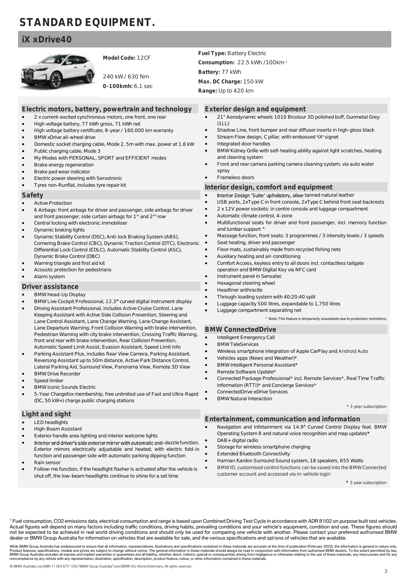## **STANDARD EQUIPMENT.**

• High voltage battery, 77 kWh gross, 71 kWh net

## **iX xDrive40**



• BMW xDrive all-wheel drive

• Brake energy regeneration • Brake pad wear indicator

• Active Protection

• Alarm system **Driver assistance** • BMW Head-Up Display

> **BMW Drive Recorder** Speed limiter

• BMW Iconic Sounds Electric

(DC, 50 kW+) charge public charging stations

• Dynamic braking lights

Dynamic Brake Control (DBC) • Warning triangle and first aid kit • Acoustic protection for pedestrians

**Safety**

Public charging cable, Mode 3

• Electric power steering with Servotronic • Tyres non-Runflat, includes tyre repair kit

• Central locking with electronic immobiliser

**Model Code:** 12CF

240 kW / 630 Nm **0-100kmh:** 6.1 sec

**Electric motors, battery, powertrain and technology** • 2 x current-excited synchronous motors, one front, one rear

• High voltage battery certificate, 8-year / 160,000 km warranty

• My Modes with PERSONAL, SPORT and EFFICIENT modes

and front passenger, side curtain airbags for 1<sup>st</sup> and 2<sup>nd</sup> row

• Dynamic Stability Control (DSC), Anti-lock Braking System (ABS), Cornering Brake Control (CBC), Dynamic Traction Control (DTC), Electronic Differential Lock Control (EDLC), Automatic Stability Control (ASC),

• Domestic socket charging cable, Mode 2, 5m with max. power at 1.8 kW

• 6 Airbags: front airbags for driver and passenger, side airbags for driver

BMW Live Cockpit Professional, 12.3" curved digital instrument display • Driving Assistant Professional, includes Active Cruise Control, Lane Keeping Assistant with Active Side Collision Prevention, Steering and Lane Control Assistant, Lane Change Warning, Lane Change Assistant, Lane Departure Warning, Front Collision Warning with brake intervention, Pedestrian Warning with city brake intervention, Crossing Traffic Warning, front and rear with brake intervention, Rear Collision Prevention, Automatic Speed Limit Assist, Evasion Assistant, Speed Limit Info • Parking Assistant Plus, includes Rear View Camera, Parking Assistant, Reversing Assistant up to 50m distance, Active Park Distance Control, Lateral Parking Aid, Surround View, Panorama View, Remote 3D View

• 5-Year Chargefox membership, free unlimited use of Fast and Ultra-Rapid

**Fuel Type:** Battery Electric **Consumption:** 22.5 kWh /100km <sup>1</sup> **Battery:** 77 kWh **Max. DC Charge:** 150 kW **Range:** Up to 420 km

**Exterior design and equipment**

- 21" Aerodynamic wheels 1010 Bicolour 3D polished buff, Gunmetal Grey (1LL)
- Shadow Line, front bumper and rear diffuser inserts in high-gloss black
- Stream Flow design, C pillar, with embossed 'iX' signet
- Integrated door handles
- BMW Kidney Grille with self-healing ability against light scratches, heating and cleaning system
- Front and rear camera parking camera cleaning system, via auto water spray
- Frameless doors

**Interior design, comfort and equipment**

- Interior Design 'Suite' upholstery, olive-tanned natural leather
- USB ports, 2xType C in front console, 2xType C behind front seat backrests
- 2 x 12V power sockets: in centre console and luggage compartment
- Automatic climate control, 4-zone
- Multifunctional seats for driver and front passenger, incl. memory function and lumbar support **^**
- Massage function, front seats: 3 programmes / 3 intensity levels / 3 speeds Seat heating, driver and passenger
- Floor mats, sustainably made from recycled fishing nets
- Auxiliary heating and air-conditioning
- Comfort Access, keyless entry to all doors incl. contactless tailgate operation and BMW Digital Key via NFC card
- Instrument panel in Sensatec
- Hexagonal steering wheel
- Headliner anthracite
- Through-loading system with 40:20:40 split
- Luggage capacity 500 litres, expandable to 1,750 litres
- Luggage compartment separating net

^ Note: This feature is temporarily unavailable due to production restrictions

#### **BMW ConnectedDrive**

- Intelligent Emergency Call
- BMW TeleServices
- Wireless smartphone integration of Apple CarPlay and Android Auto
- Vehicles apps (News and Weather)\*
- BMW Intelligent Personal Assistant\*
- Remote Software Update\*
- Connected Package Professional\* incl. Remote Services\*, Real Time Traffic Information (RTTI)\* and Concierge Services\*
- ConnectedDrive eDrive Services
- BMW Natural Interaction

\* 3 year subscription

**Light and sight LED** headlights • High-Beam Assistant Exterior handle area lighting and interior welcome lights Interior and driver's side exterior mirror with automatic anti-dazzle function. Exterior mirrors electrically adjustable and heated, with electric fold-in function and passenger side with automatic parking dipping function • Rain sensor **Entertainment, communication and information** Navigation and Infotainment via 14.9" Curved Control Display feat. BMW Operating System 8 and natural voice recognition and map updates**\*** • DAB+ digital radio Storage for wireless smartphone charging • Extended Bluetooth Connectivity • Harman Kardon Surround Sound system, 18 speakers, 655 Watts

- Follow-me function, if the headlight flasher is activated after the vehicle is shut off, the low-beam headlights continue to shine for a set time
- BMW ID, customised control functions can be saved into the BMW Connected customer account and accessed via in-vehicle login

**\*** 3 year subscription

<sup>1</sup> Fuel consumption, CO2 emissions data, electrical consumption and range is based upon Combined Driving Test Cycle in accordance with ADR 81/02 on purpose built test vehicles. Actual figures will depend on many factors including traffic conditions, driving habits, prevailing conditions and your vehicle's equipment, condition and use. These figures should not be expected to be achieved in real world driving conditions and should only be used for comparing one vehicle with another. Please contact your preferred authorised BMW dealer or BMW Group Australia for information on vehicles that are available for sale, and the various specifications and options of vehicles that are available.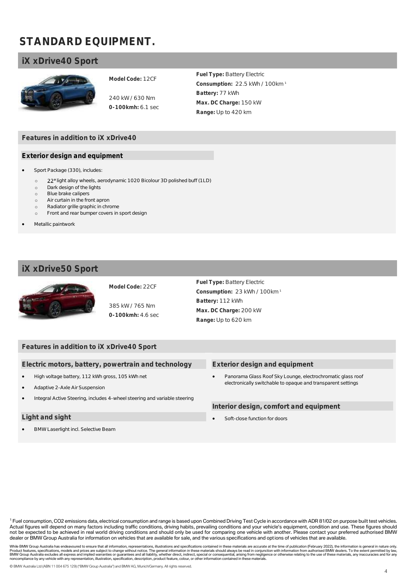## **STANDARD EQUIPMENT.**

## **iX xDrive40 Sport**



**Model Code:** 12CF

240 kW / 630 Nm **0-100kmh:** 6.1 sec **Fuel Type:** Battery Electric **Consumption:** 22.5 kWh / 100km <sup>1</sup> **Battery:** 77 kWh **Max. DC Charge:** 150 kW **Range:** Up to 420 km

## **Features in addition to iX xDrive40**

#### **Exterior design and equipment**

- Sport Package (330), includes:
	- o 22" light alloy wheels, aerodynamic 1020 Bicolour 3D polished buff (1LD)
	- o Dark design of the lights
	- o Blue brake calipers
	- o Air curtain in the front apron
	- o Radiator grille graphic in chrome
	- o Front and rear bumper covers in sport design
- Metallic paintwork

## **iX xDrive50 Sport**



## **Model Code:** 22CF

385 kW / 765 Nm **0-100kmh:** 4.6 sec

**Fuel Type:** Battery Electric **Consumption:** 23 kWh / 100km <sup>1</sup> **Battery:** 112 kWh **Max. DC Charge:** 200 kW **Range:** Up to 620 km

## **Features in addition to iX xDrive40 Sport**

**Electric motors, battery, powertrain and technology**

- High voltage battery, 112 kWh gross, 105 kWh net
- Adaptive 2-Axle Air Suspension
- Integral Active Steering, includes 4-wheel steering and variable steering

#### **Light and sight**

• BMW Laserlight incl. Selective Beam

#### **Exterior design and equipment**

• Panorama Glass Roof Sky Lounge, electrochromatic glass roof electronically switchable to opaque and transparent settings

**Interior design, comfort and equipment**

Soft-close function for doors

<sup>1</sup> Fuel consumption, CO2 emissions data, electrical consumption and range is based upon Combined Driving Test Cycle in accordance with ADR 81/02 on purpose built test vehicles. Actual figures will depend on many factors including traffic conditions, driving habits, prevailing conditions and your vehicle's equipment, condition and use. These figures should not be expected to be achieved in real world driving conditions and should only be used for comparing one vehicle with another. Please contact your preferred authorised BMW dealer or BMW Group Australia for information on vehicles that are available for sale, and the various specifications and options of vehicles that are available.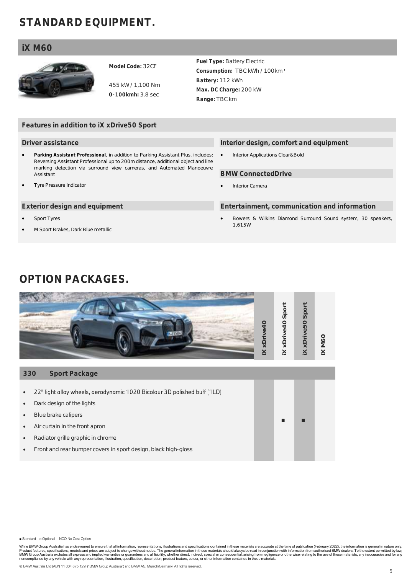## **STANDARD EQUIPMENT.**

## **iX M60**



**Model Code:** 32CF

455 kW / 1,100 Nm **0-100kmh:** 3.8 sec

**Fuel Type:** Battery Electric **Consumption:** TBC kWh / 100km <sup>1</sup> **Battery:** 112 kWh **Max. DC Charge:** 200 kW **Range:** TBC km

## **Features in addition to iX xDrive50 Sport**

#### **Driver assistance**

- **Parking Assistant Professional**, in addition to Parking Assistant Plus, includes: Reversing Assistant Professional up to 200m distance, additional object and line marking detection via surround view cameras, and Automated Manoeuvre **Assistant**
- Tyre Pressure Indicator

#### **Exterior design and equipment**

- Sport Tyres
- M Sport Brakes, Dark Blue metallic

#### **Interior design, comfort and equipment**

• Interior Applications Clear&Bold

#### **BMW ConnectedDrive**

Interior Camera

#### **Entertainment, communication and information**

• Bowers & Wilkins Diamond Surround Sound system, 30 speakers, 1,615W

## **OPTION PACKAGES.**



■ Standard □ Optional NCO No Cost Option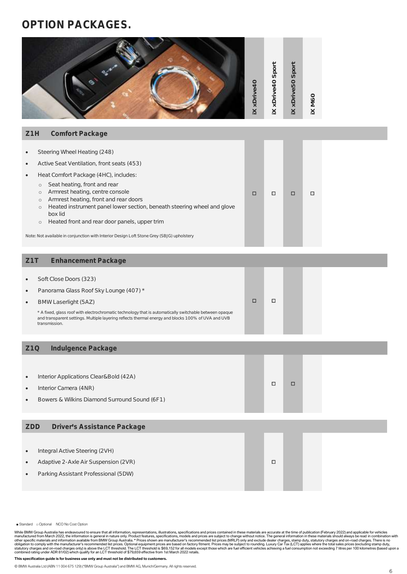## **OPTION PACKAGES.**

|                                     |                                                                                                                                                                                                                                                                                                                                                                                                                                                                                                                            | X xDrive40 | <b>IX xDrive40 Sport</b> | <b>IX xDrive50 Sport</b> | IX M60 |  |
|-------------------------------------|----------------------------------------------------------------------------------------------------------------------------------------------------------------------------------------------------------------------------------------------------------------------------------------------------------------------------------------------------------------------------------------------------------------------------------------------------------------------------------------------------------------------------|------------|--------------------------|--------------------------|--------|--|
| Z <sub>1</sub> H                    | Comfort Package                                                                                                                                                                                                                                                                                                                                                                                                                                                                                                            |            |                          |                          |        |  |
| $\bullet$<br>$\bullet$<br>$\bullet$ | Steering Wheel Heating (248)<br>Active Seat Ventilation, front seats (453)<br>Heat Comfort Package (4HC), includes:<br>Seat heating, front and rear<br>$\circ$<br>Armrest heating, centre console<br>$\circ$<br>Armrest heating, front and rear doors<br>$\circ$<br>Heated instrument panel lower section, beneath steering wheel and glove<br>$\circ$<br>box lid<br>Heated front and rear door panels, upper trim<br>$\circ$<br>Note: Not available in conjunction with Interior Design Loft Stone Grey (SBJG) upholstery | □          | □                        | $\Box$                   | $\Box$ |  |
| Z1T                                 | <b>Enhancement Package</b>                                                                                                                                                                                                                                                                                                                                                                                                                                                                                                 |            |                          |                          |        |  |
| $\bullet$<br>$\bullet$<br>$\bullet$ | Soft Close Doors (323)<br>Panorama Glass Roof Sky Lounge (407) *<br>BMW Laserlight (5AZ)<br>* A fixed, glass roof with electrochromatic technology that is automatically switchable between opaque<br>and transparent settings. Multiple layering reflects thermal energy and blocks 100% of UVA and UVB<br>transmission.                                                                                                                                                                                                  | □          | $\Box$                   |                          |        |  |
| Z <sub>10</sub>                     | Indulgence Package                                                                                                                                                                                                                                                                                                                                                                                                                                                                                                         |            |                          |                          |        |  |
| $\bullet$<br>$\bullet$<br>$\bullet$ | Interior Applications Clear&Bold (42A)<br>Interior Camera (4NR)<br>Bowers & Wilkins Diamond Surround Sound (6F1)                                                                                                                                                                                                                                                                                                                                                                                                           |            | $\Box$                   | $\Box$                   |        |  |
| ZDD                                 | Driver's Assistance Package                                                                                                                                                                                                                                                                                                                                                                                                                                                                                                |            |                          |                          |        |  |
| $\bullet$<br>$\bullet$<br>$\bullet$ | Integral Active Steering (2VH)<br>Adaptive 2-Axle Air Suspension (2VR)<br>Parking Assistant Professional (5DW)                                                                                                                                                                                                                                                                                                                                                                                                             |            | $\Box$                   |                          |        |  |
|                                     |                                                                                                                                                                                                                                                                                                                                                                                                                                                                                                                            |            |                          |                          |        |  |

■ Standard □ Optional NCO No Cost Option

While BMW Group Australia has endeavoured to ensure that all information, representations, illustrations, specifications and prices contained in these materials are accurate at the time of publication (February 2022) and a

**This specification guide is for business use only and must not be distributed to customers.**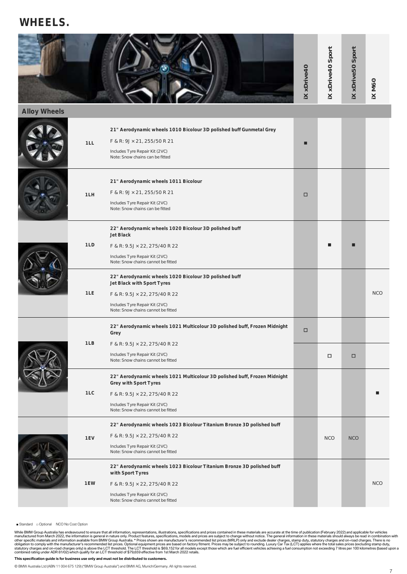## **WHEELS.**

|              |     |                                                                                                                                                                                                                                                                                     | <b>IX xDrive40</b> | <b>IX xDrive40 Sport</b> | <b>IX xDrive50 Sport</b> | IX M60     |
|--------------|-----|-------------------------------------------------------------------------------------------------------------------------------------------------------------------------------------------------------------------------------------------------------------------------------------|--------------------|--------------------------|--------------------------|------------|
| Alloy Wheels |     |                                                                                                                                                                                                                                                                                     |                    |                          |                          |            |
|              | 1LL | 21" Aerodynamic wheels 1010 Bicolour 3D polished buff Gunmetal Grey<br>F & R: 9J × 21, 255/50 R 21<br>Includes Tyre Repair Kit (2VC)<br>Note: Snow chains can be fitted                                                                                                             |                    |                          |                          |            |
|              | 1LH | 21" Aerodynamic wheels 1011 Bicolour<br>F & R: 9J × 21, 255/50 R 21<br>Includes Tyre Repair Kit (2VC)<br>Note: Snow chains can be fitted                                                                                                                                            | □                  |                          |                          |            |
|              | 1LD | 22" Aerodynamic wheels 1020 Bicolour 3D polished buff<br>Jet Black<br>F & R: 9.5J × 22, 275/40 R 22<br>Includes Tyre Repair Kit (2VC)<br>Note: Snow chains cannot be fitted                                                                                                         |                    |                          |                          |            |
|              | 1LE | 22" Aerodynamic wheels 1020 Bicolour 3D polished buff<br>Jet Black with Sport Tyres<br>F & R: 9.5J × 22, 275/40 R 22<br>Includes Tyre Repair Kit (2VC)<br>Note: Snow chains cannot be fitted                                                                                        |                    |                          |                          | <b>NCO</b> |
|              | 1LB | 22" Aerodynamic wheels 1021 Multicolour 3D polished buff, Frozen Midnight<br>Grey<br>F & R: 9.5J × 22, 275/40 R 22                                                                                                                                                                  | □                  |                          |                          |            |
|              | 1LC | Includes Tyre Repair Kit (2VC)<br>Note: Snow chains cannot be fitted<br>22" Aerodynamic wheels 1021 Multicolour 3D polished buff, Frozen Midnight<br>Grey with Sport Tyres<br>F & R: 9.5J × 22, 275/40 R 22<br>Includes Tyre Repair Kit (2VC)<br>Note: Snow chains cannot be fitted |                    | □                        | □                        |            |
|              | 1EV | 22" Aerodynamic wheels 1023 Bicolour Titanium Bronze 3D polished buff<br>F & R: 9.5J × 22, 275/40 R 22<br>Includes Tyre Repair Kit (2VC)<br>Note: Snow chains cannot be fitted                                                                                                      |                    | <b>NCO</b>               | <b>NCO</b>               |            |
|              | 1EW | 22" Aerodynamic wheels 1023 Bicolour Titanium Bronze 3D polished buff<br>with Sport Tyres<br>F & R: 9.5J × 22, 275/40 R 22<br>Includes Tyre Repair Kit (2VC)<br>Note: Snow chains cannot be fitted                                                                                  |                    |                          |                          | <b>NCO</b> |

■ Standard □ Optional NCO No Cost Option

While BMW Group Australia has endeavoured to ensure that all information, representations, illustrations, specifications and prices contained in these materials are accurate at the time of publication (February 2022) and a

#### **This specification guide is for business use only and must not be distributed to customers.**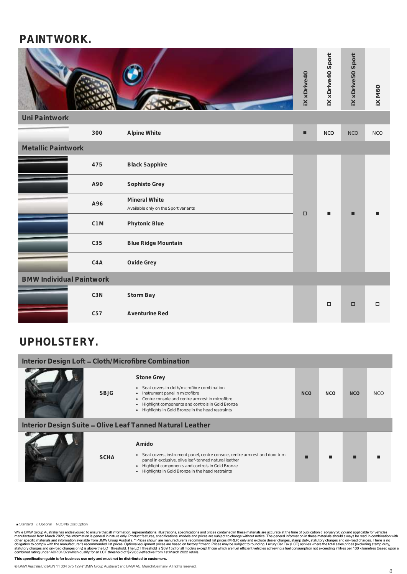## **PAINTWORK.**

|                    |              | iX xDrive40 | Sport<br>xDrive40<br>$\mathord{\underline{\times}}$ | Sport<br><b>XDrive50</b><br>$\leq$ | IX M60     |
|--------------------|--------------|-------------|-----------------------------------------------------|------------------------------------|------------|
| Uni Paintwork      |              |             |                                                     |                                    |            |
| 300                | Alpine White | п           | <b>NCO</b>                                          | <b>NCO</b>                         | <b>NCO</b> |
| Metallic Paintwork |              |             |                                                     |                                    |            |

|                                 | 475              | <b>Black Sapphire</b>                                 |        |        |        |        |
|---------------------------------|------------------|-------------------------------------------------------|--------|--------|--------|--------|
|                                 | A90              | Sophisto Grey                                         |        |        |        |        |
|                                 | A96              | Mineral White<br>Available only on the Sport variants |        |        | п      |        |
|                                 | C <sub>1</sub> M | Phytonic Blue                                         | $\Box$ |        |        |        |
|                                 | C35              | Blue Ridge Mountain                                   |        |        |        |        |
|                                 | C4A              | Oxide Grey                                            |        |        |        |        |
| <b>BMW Individual Paintwork</b> |                  |                                                       |        |        |        |        |
|                                 | C3N              | Storm Bay                                             |        | $\Box$ | $\Box$ | $\Box$ |
|                                 | C57              | Aventurine Red                                        |        |        |        |        |

## **UPHOLSTERY.**

| Interior Design Loft - Cloth/Microfibre Combination       |             |                                                                                                                                                                                                                                                                        |            |            |            |            |
|-----------------------------------------------------------|-------------|------------------------------------------------------------------------------------------------------------------------------------------------------------------------------------------------------------------------------------------------------------------------|------------|------------|------------|------------|
|                                                           | <b>SBJG</b> | <b>Stone Grey</b><br>• Seat covers in cloth/microfibre combination<br>• Instrument panel in microfibre<br>• Centre console and centre armrest in microfibre<br>Highlight components and controls in Gold Bronze<br>• Highlights in Gold Bronze in the head restraints  | <b>NCO</b> | <b>NCO</b> | <b>NCO</b> | <b>NCO</b> |
| Interior Design Suite - Olive Leaf Tanned Natural Leather |             |                                                                                                                                                                                                                                                                        |            |            |            |            |
|                                                           | <b>SCHA</b> | Amido<br>• Seat covers, instrument panel, centre console, centre armrest and door trim<br>panel in exclusive, olive leaf-tanned natural leather<br>Highlight components and controls in Gold Bronze<br>$\bullet$<br>• Highlights in Gold Bronze in the head restraints |            |            |            |            |

■ Standard □ Optional NCO No Cost Option

While BMW Group Australia has endeavoured to ensure that all information, representations, illustrations, specifications and prices contained in these materials are accurate at the time of publication (February 2022) and a

#### **This specification guide is for business use only and must not be distributed to customers.**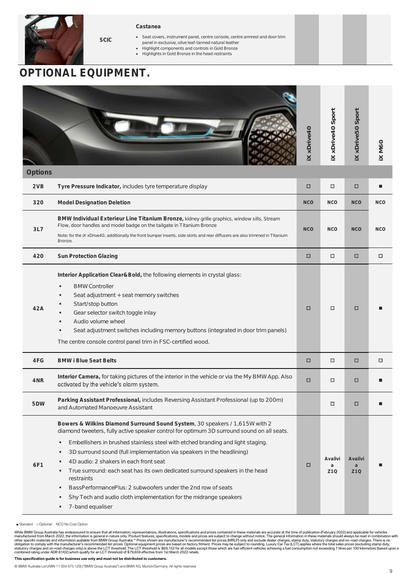

#### **Castanea**

- Seat covers, instrument panel, centre console, centre armrest and door trim panel in exclusive, olive leaf-tanned natural leather
- Highlight components and controls in Gold Bronze
- Highlights in Gold Bronze in the head restraints

## **OPTIONAL EQUIPMENT.**

**SCIC**

|         |                                                                                                                                                                                                                                                                                                                                                                                                                                                                                                                                                     | <b>IX xDrive40</b> | <b>IX xDrive40 Sport</b>        | <b>IX xDrive50 Sport</b>        | X M60      |
|---------|-----------------------------------------------------------------------------------------------------------------------------------------------------------------------------------------------------------------------------------------------------------------------------------------------------------------------------------------------------------------------------------------------------------------------------------------------------------------------------------------------------------------------------------------------------|--------------------|---------------------------------|---------------------------------|------------|
| Options |                                                                                                                                                                                                                                                                                                                                                                                                                                                                                                                                                     |                    |                                 |                                 |            |
| 2VB     | Tyre Pressure Indicator, includes tyre temperature display                                                                                                                                                                                                                                                                                                                                                                                                                                                                                          | $\Box$             | □                               | □                               |            |
| 320     | Model Designation Deletion                                                                                                                                                                                                                                                                                                                                                                                                                                                                                                                          | <b>NCO</b>         | <b>NCO</b>                      | <b>NCO</b>                      | <b>NCO</b> |
| 3L7     | BMW Individual Exterieur Line Titanium Bronze, kidney grille graphics, window sills, Stream<br>Flow, door handles and model badge on the tailgate in Titanium Bronze<br>Note: for the IX xDrive40, additionally the front bumper inserts, side skirts and rear diffusers are also trimmed in Titanium<br>Bronze.                                                                                                                                                                                                                                    | <b>NCO</b>         | <b>NCO</b>                      | <b>NCO</b>                      | <b>NCO</b> |
| 420     | Sun Protection Glazing                                                                                                                                                                                                                                                                                                                                                                                                                                                                                                                              | $\Box$             | $\Box$                          | □                               | □          |
| 42A     | Interior Application Clear&Bold, the following elements in crystal glass:<br><b>BMW Controller</b><br>٠<br>Seat adjustment + seat memory switches<br>٠<br>Start/stop button<br>Gear selector switch toggle inlay<br>٠<br>Audio volume wheel<br>٠<br>Seat adjustment switches including memory buttons (integrated in door trim panels)<br>٠<br>The centre console control panel trim in FSC-certified wood.                                                                                                                                         | □                  | □                               | □                               |            |
| 4FG     | <b>BMW i Blue Seat Belts</b>                                                                                                                                                                                                                                                                                                                                                                                                                                                                                                                        | $\Box$             | □                               | □                               | □          |
| 4NR     | Interior Camera, for taking pictures of the interior in the vehicle or via the My BMW App. Also<br>activated by the vehicle's alarm system.                                                                                                                                                                                                                                                                                                                                                                                                         | □                  | □                               | □                               |            |
| 5DW     | Parking Assistant Professional, includes Reversing Assistant Professional (up to 200m)<br>and Automated Manoeuvre Assistant                                                                                                                                                                                                                                                                                                                                                                                                                         |                    | □                               | □                               |            |
| 6F1     | Bowers & Wilkins Diamond Surround Sound System, 30 speakers / 1,615W with 2<br>diamond tweeters, fully active speaker control for optimum 3D surround sound on all seats.<br>Embellishers in brushed stainless steel with etched branding and light staging.<br>٠<br>3D surround sound (full implementation via speakers in the headlining)<br>4D audio: 2 shakers in each front seat<br>True surround: each seat has its own dedicated surround speakers in the head<br>restraints<br>BassPerformancePlus: 2 subwoofers under the 2nd row of seats | □                  | Availvi<br>a<br>Z <sub>10</sub> | Availvi<br>a<br>Z <sub>10</sub> |            |

- Shy Tech and audio cloth implementation for the midrange speakers
- 7-band equaliser
- Standard □ Optional NCO No Cost Option

While BMW Group Australia has endeavoured to ensure that all information, representations, illustrations, specifications and prices contained in these materials are accurate at the time of publication (February 2022) and a

#### **This specification guide is for business use only and must not be distributed to customers.**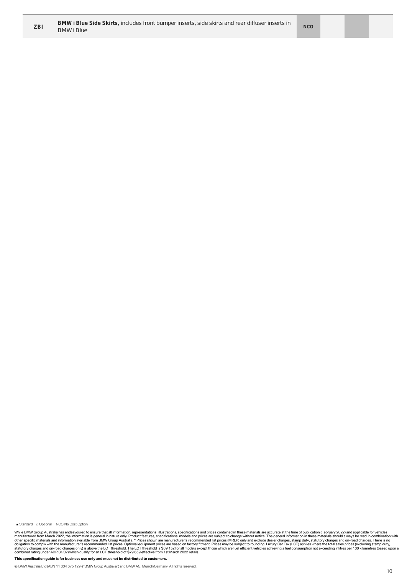

■ Standard □ Optional NCO No Cost Option

While BMW Group Australia has endeavoured to ensure that all information, representations, illustrations, specifications and prices contained in these materials are accurate at the time of publication (February 2022) and a

**This specification guide is for business use only and must not be distributed to customers.**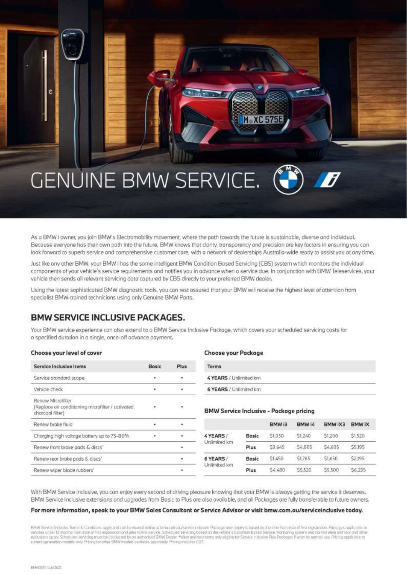## **GENUINE BMW SERVICE.**

As a BMW i owner, you join BMW's Electromobility movement, where the path towards the future is sustainable, diverse and individual. Because everyone has their own path into the future, BMW knows that clarity, transparency and precision are key factors in ensuring you can look forward to superb service and comprehensive customer core, with a network of dealerships Australia-wide ready to assist you at any time.

Just like any other BMW, your BMW i has the same intelligent BMW Condition Based Servicing (CBS) system which monitors the individual components of your vehicle's service requirements and notifies you in advance when a service due. In conjunction with BMW Teleservices, your vehicle then sends all relevant servicing data captured by CBS directly to your preferred BMW dealer.

Using the latest sophisticated BMW diagnostic tools, you can rest assured that your BMW will receive the highest level of attention from specialist BMW-trained technicians using only Genuine BMW Parts.

## **BMW SERVICE INCLUSIVE PACKAGES.**

Your BMW service experience can also extend to a BMW Service Inclusive Package, which covers your scheduled servicing costs for a specified duration in a single, once-off advance payment.

| Choose your level of cover |  |  |
|----------------------------|--|--|
|----------------------------|--|--|

| Service Inclusive Items                                                                    | Bosic | <b>Plus</b> |
|--------------------------------------------------------------------------------------------|-------|-------------|
| Service standard scope                                                                     |       |             |
| Vehicle check                                                                              |       |             |
| Renew Microfilter<br>[Replace air conditioning micrafilter / activated<br>charcoal filter) |       |             |
| Renew brake fluid                                                                          |       |             |
| Charging high voltage battery up to 75-80%                                                 |       |             |
| Renew front brake pads & discs'                                                            |       |             |
| Renew rear brake pads & discs'                                                             |       |             |
| Renew wiper blode rubbers"                                                                 |       |             |

#### **Choose your Package**

| Terms                  |  |
|------------------------|--|
| 4 YEARS / Unlimited km |  |
| 6 YEARS / Unlimited km |  |

#### **BMW Service Inclusive - Package pricing**

**M** XC 575E

|                            |              | BMW <sub>i3</sub> | BMW I4  | BMW IX3 | <b>BMWIX</b> |
|----------------------------|--------------|-------------------|---------|---------|--------------|
| 4 YEARS /<br>Unlimited km  | Basic        | \$1,050           | S1.240  | \$1,200 | \$1,520      |
|                            | Plus         | \$3,645           | S4,805  | \$4,605 | \$5,195      |
| 6 YEARS /<br>Unlimited km. | <b>Basic</b> | 51,450            | \$1765  | \$1,650 | \$2,195      |
|                            | Plus         | \$4,480           | \$5,520 | \$5,500 | \$6,235      |

With BMW Service Inclusive, you can enjoy every second of driving pleasure knowing that your BMW is always getting the service it deserves. BMW Service Inclusive extensions and upgrades from Basic to Plus are also available, and all Packages are fully transferable to future owners.

#### For more information, speak to your BMW Sales Consultant or Service Advisor or visit bmw.com.au/serviceinclusive today.

BMW Senite Inclusive Terms & Conditions opply and can be viewed online at bimw.com autosinational senior exercise error explicit bused on the time from date of first registration. Packages applicable to<br>vehicles under 12 m exclusions apply Scheduled servicing must be conducted by on-authorized BMW Dealer, \*Wear and teamsens anly eligible for Service Inclusive Plus Packages. If wan by normal use. Pricing opplicable to<br>current generation model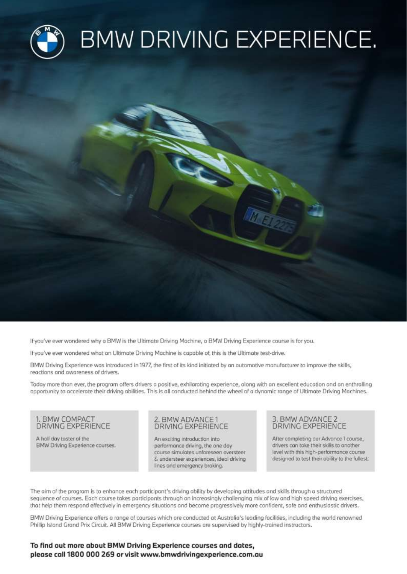

If you've ever wondered why a BMW is the Ultimate Driving Machine, a BMW Driving Experience course is for you.

If you've ever wondered what an Ultimate Driving Machine is capable of, this is the Ultimate test-drive.

BMW Driving Experience was introduced in 1977, the first of its kind initiated by an automotive manufacturer to improve the skills, reactions and awareness of drivers.

Today more than ever, the program offers drivers a positive, exhilarating experience, along with an excellent education and an enthralling opportunity to accelerate their driving abilities. This is all conducted behind the wheel of a dynamic range of Ultimate Driving Machines.

## 1. BMW COMPACT **DRIVING EXPERIENCE**

A half day taster of the BMW Driving Experience courses.

#### 2. BMW ADVANCE 1 DRIVING EXPERIENCE

An exciting introduction into performance driving, the one day course simulates unforeseen oversteer & understeer experiences, ideal driving lines and emergency braking.

## 3. BMW ADVANCE 2 **DRIVING EXPERIENCE**

After completing our Advance 1 course, drivers can take their skills to another level with this high-performance course designed to test their ability to the fullest.

The aim of the program is to enhance each participant's driving ability by developing attitudes and skills through a structured sequence of courses. Each course takes participants through an increasingly challenging mix of low and high speed driving exercises, that help them respond effectively in emergency situations and become progressively more confident, safe and enthusiastic drivers.

BMW Driving Experience offers a range of courses which are conducted at Australia's leading facilities, including the world renowned Phillip Island Grand Prix Circuit. All BMW Driving Experience courses are supervised by highly-trained instructors.

## To find out more about BMW Driving Experience courses and dates, please call 1800 000 269 or visit www.bmwdrivingexperience.com.au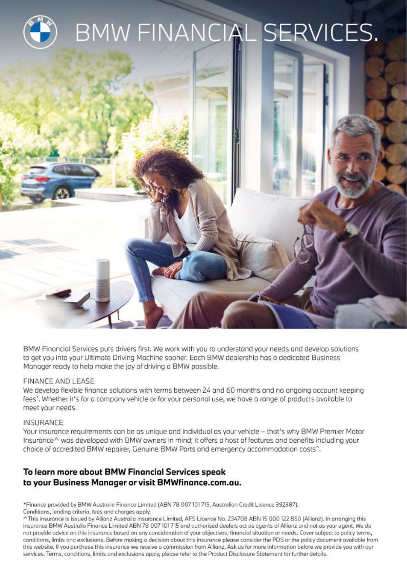

BMW Financial Services puts drivers first. We work with you to understand your needs and develop solutions to get you into your Ultimate Driving Machine sooner. Each BMW dealership has a dedicated Business Manager ready to help make the joy of driving a BMW possible.

## FINANCE AND LEASE

We develop flexible finance solutions with terms between 24 and 60 months and no ongoing account keeping fees". Whether it's for a company vehicle or for your personal use, we have a range of products available to meet your needs.

## **INSURANCE**

Your insurance requirements can be as unique and individual as your vehicle - that's why BMW Premier Motor Insurance^ was developed with BMW owners in mind; it offers a host of features and benefits including your choice of accredited BMW repairer, Genuine BMW Parts and emergency accommodation costs^.

## To learn more about BMW Financial Services speak to your Business Manager or visit BMWfinance.com.au.

\*Finance provided by BMW Australia Finance Limited (ABN 78 007101715, Australian Credit Licence 392387).

Conditions, lending criteria, fees and charges apply.

^This insurance is issued by Allianz Australia Insurance Limited, AFS Licence No. 234708 ABN 15 000 122 850 (Allianz). In arranging this insurance BMW Australia Finance Limited ABN 78 007 101 715 and authorised dealers act as agents of Allianz and not as your agent. We do not provide advice on this insurance based on any consideration of your objectives, financial situation or needs. Cover subject to policy terms, conditions, limits and exclusions. Before making a decision about this insurance please consider the PDS or the policy document available from this website. If you purchase this insurance we receive a commission from Allianz. Ask us for more information before we provide you with our services. Terms, conditions, limits and exclusions apply, please refer to the Product Disclosure Statement for further details.